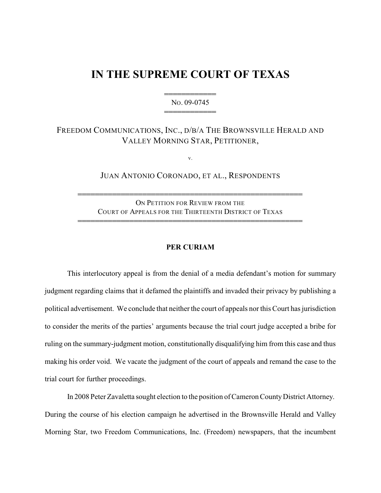## **IN THE SUPREME COURT OF TEXAS**

444444444444 NO. 09-0745 444444444444

## FREEDOM COMMUNICATIONS, INC., D/B/A THE BROWNSVILLE HERALD AND VALLEY MORNING STAR, PETITIONER,

v.

## JUAN ANTONIO CORONADO, ET AL., RESPONDENTS

ON PETITION FOR REVIEW FROM THE COURT OF APPEALS FOR THE THIRTEENTH DISTRICT OF TEXAS 4444444444444444444444444444444444444444444444444444

4444444444444444444444444444444444444444444444444444

## **PER CURIAM**

This interlocutory appeal is from the denial of a media defendant's motion for summary judgment regarding claims that it defamed the plaintiffs and invaded their privacy by publishing a political advertisement. We conclude that neither the court of appeals nor this Court has jurisdiction to consider the merits of the parties' arguments because the trial court judge accepted a bribe for ruling on the summary-judgment motion, constitutionally disqualifying him from this case and thus making his order void. We vacate the judgment of the court of appeals and remand the case to the trial court for further proceedings.

In 2008 Peter Zavaletta sought election to the position of Cameron CountyDistrict Attorney. During the course of his election campaign he advertised in the Brownsville Herald and Valley Morning Star, two Freedom Communications, Inc. (Freedom) newspapers, that the incumbent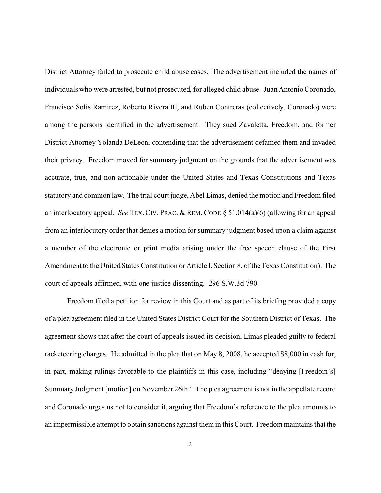District Attorney failed to prosecute child abuse cases. The advertisement included the names of individuals who were arrested, but not prosecuted, for alleged child abuse. Juan Antonio Coronado, Francisco Solis Ramirez, Roberto Rivera III, and Ruben Contreras (collectively, Coronado) were among the persons identified in the advertisement. They sued Zavaletta, Freedom, and former District Attorney Yolanda DeLeon, contending that the advertisement defamed them and invaded their privacy. Freedom moved for summary judgment on the grounds that the advertisement was accurate, true, and non-actionable under the United States and Texas Constitutions and Texas statutory and common law. The trial court judge, Abel Limas, denied the motion and Freedom filed an interlocutory appeal. *See* TEX. CIV. PRAC. & REM. CODE § 51.014(a)(6) (allowing for an appeal from an interlocutory order that denies a motion for summary judgment based upon a claim against a member of the electronic or print media arising under the free speech clause of the First Amendment to the United States Constitution or Article I, Section 8, of the Texas Constitution). The court of appeals affirmed, with one justice dissenting. 296 S.W.3d 790.

Freedom filed a petition for review in this Court and as part of its briefing provided a copy of a plea agreement filed in the United States District Court for the Southern District of Texas. The agreement shows that after the court of appeals issued its decision, Limas pleaded guilty to federal racketeering charges. He admitted in the plea that on May 8, 2008, he accepted \$8,000 in cash for, in part, making rulings favorable to the plaintiffs in this case, including "denying [Freedom's] Summary Judgment [motion] on November 26th." The plea agreement is not in the appellate record and Coronado urges us not to consider it, arguing that Freedom's reference to the plea amounts to an impermissible attempt to obtain sanctions against them in this Court. Freedom maintains that the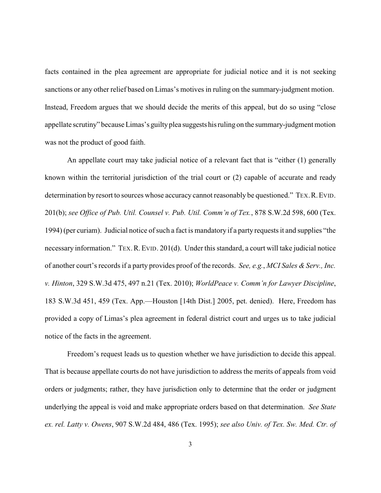facts contained in the plea agreement are appropriate for judicial notice and it is not seeking sanctions or any other relief based on Limas's motives in ruling on the summary-judgment motion. Instead, Freedom argues that we should decide the merits of this appeal, but do so using "close appellate scrutiny" because Limas's guilty plea suggests hisruling on the summary-judgment motion was not the product of good faith.

An appellate court may take judicial notice of a relevant fact that is "either (1) generally known within the territorial jurisdiction of the trial court or (2) capable of accurate and ready determination by resort to sources whose accuracy cannot reasonably be questioned." TEX. R. EVID. 201(b); *see Office of Pub. Util. Counsel v. Pub. Util. Comm'n of Tex.*, 878 S.W.2d 598, 600 (Tex. 1994) (per curiam). Judicial notice of such a fact is mandatory if a party requests it and supplies "the necessary information." TEX.R.EVID. 201(d). Under this standard, a court will take judicial notice of another court's records if a party provides proof of the records. *See, e.g.*, *MCI Sales & Serv., Inc. v. Hinton*, 329 S.W.3d 475, 497 n.21 (Tex. 2010); *WorldPeace v. Comm'n for Lawyer Discipline*, 183 S.W.3d 451, 459 (Tex. App.—Houston [14th Dist.] 2005, pet. denied). Here, Freedom has provided a copy of Limas's plea agreement in federal district court and urges us to take judicial notice of the facts in the agreement.

Freedom's request leads us to question whether we have jurisdiction to decide this appeal. That is because appellate courts do not have jurisdiction to address the merits of appeals from void orders or judgments; rather, they have jurisdiction only to determine that the order or judgment underlying the appeal is void and make appropriate orders based on that determination. *See State ex. rel. Latty v. Owens*, 907 S.W.2d 484, 486 (Tex. 1995); *see also Univ. of Tex. Sw. Med. Ctr. of*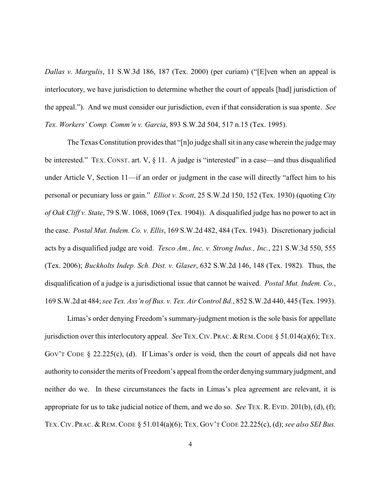*Dallas v. Margulis*, 11 S.W.3d 186, 187 (Tex. 2000) (per curiam) ("[E]ven when an appeal is interlocutory, we have jurisdiction to determine whether the court of appeals [had] jurisdiction of the appeal."). And we must consider our jurisdiction, even if that consideration is sua sponte. *See Tex. Workers' Comp. Comm'n v. Garcia*, 893 S.W.2d 504, 517 n.15 (Tex. 1995).

The Texas Constitution provides that "[n]o judge shall sit in any case wherein the judge may be interested." TEX. CONST. art. V, § 11. A judge is "interested" in a case—and thus disqualified under Article V, Section 11—if an order or judgment in the case will directly "affect him to his personal or pecuniary loss or gain." *Elliot v. Scott*, 25 S.W.2d 150, 152 (Tex. 1930) (quoting *City of Oak Cliff v. State*, 79 S.W. 1068, 1069 (Tex. 1904)). A disqualified judge has no power to act in the case. *Postal Mut. Indem. Co. v. Ellis*, 169 S.W.2d 482, 484 (Tex. 1943). Discretionary judicial acts by a disqualified judge are void. *Tesco Am., Inc. v. Strong Indus., Inc.*, 221 S.W.3d 550, 555 (Tex. 2006); *Buckholts Indep. Sch. Dist. v. Glaser*, 632 S.W.2d 146, 148 (Tex. 1982). Thus, the disqualification of a judge is a jurisdictional issue that cannot be waived. *Postal Mut. Indem. Co.*, 169 S.W.2d at 484; *see Tex. Ass'n of Bus. v. Tex. Air Control Bd.*, 852 S.W.2d 440, 445 (Tex. 1993).

Limas's order denying Freedom's summary-judgment motion is the sole basis for appellate jurisdiction over this interlocutory appeal. *See* TEX. CIV. PRAC. & REM. CODE § 51.014(a)(6); TEX. GOV'T CODE  $\S$  22.225(c), (d). If Limas's order is void, then the court of appeals did not have authority to consider the merits of Freedom's appeal from the order denying summary judgment, and neither do we. In these circumstances the facts in Limas's plea agreement are relevant, it is appropriate for us to take judicial notice of them, and we do so. *See* TEX. R. EVID. 201(b), (d), (f); TEX. CIV. PRAC. & REM. CODE § 51.014(a)(6); TEX. GOV'T CODE 22.225(c), (d); *see also SEI Bus.*